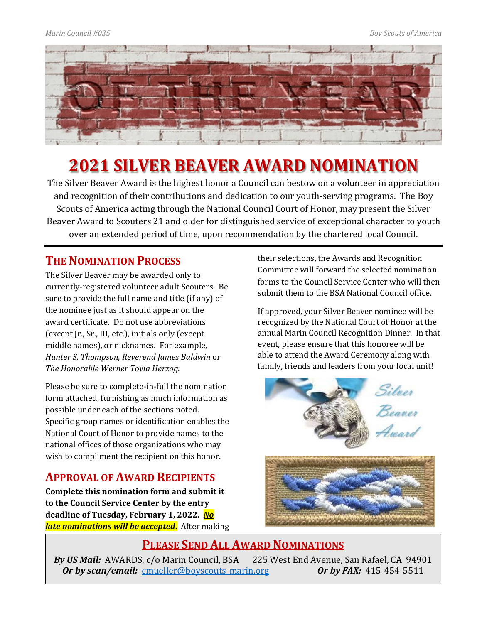

# **2021 SILVER BEAVER AWARD NOMINATION**

The Silver Beaver Award is the highest honor a Council can bestow on a volunteer in appreciation and recognition of their contributions and dedication to our youth-serving programs. The Boy Scouts of America acting through the National Council Court of Honor, may present the Silver Beaver Award to Scouters 21 and older for distinguished service of exceptional character to youth over an extended period of time, upon recommendation by the chartered local Council.

### **THE NOMINATION PROCESS**

The Silver Beaver may be awarded only to currently-registered volunteer adult Scouters. Be sure to provide the full name and title (if any) of the nominee just as it should appear on the award certificate. Do not use abbreviations (except Jr., Sr., III, etc.), initials only (except middle names), or nicknames. For example, *Hunter S. Thompson*, *Reverend James Baldwin* or *The Honorable Werner Tovia Herzog*.

Please be sure to complete-in-full the nomination form attached, furnishing as much information as possible under each of the sections noted. Specific group names or identification enables the National Court of Honor to provide names to the national offices of those organizations who may wish to compliment the recipient on this honor.

## **APPROVAL OF AWARD RECIPIENTS**

**Complete this nomination form and submit it to the Council Service Center by the entry deadline of Tuesday, February 1, 2022.** *No late nominations will be accepted***.** After making their selections, the Awards and Recognition Committee will forward the selected nomination forms to the Council Service Center who will then submit them to the BSA National Council office.

If approved, your Silver Beaver nominee will be recognized by the National Court of Honor at the annual Marin Council Recognition Dinner. In that event, please ensure that this honoree will be able to attend the Award Ceremony along with family, friends and leaders from your local unit!



### **PLEASE SEND ALL AWARD NOMINATIONS**

*By US Mail:* AWARDS, c/o Marin Council, BSA 225 West End Avenue, San Rafael, CA 94901<br>*Or by scan/email:* cmueller@boyscouts-marin.org *Or by FAX:* 415-454-5511 *Or by scan/email: [cmueller@boyscouts-marin.org](mailto:cmueller@boyscouts-marin.org)*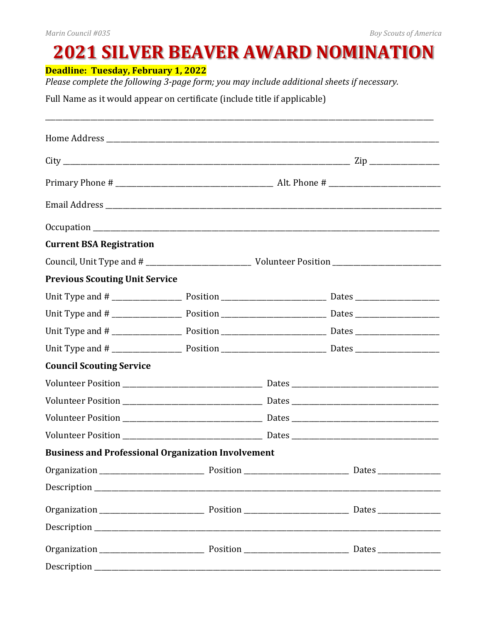# **2021 SILVER BEAVER AWARD NOMINATION**

**Deadline: Tuesday, February 1, 2022** 

Please complete the following 3-page form; you may include additional sheets if necessary.

Full Name as it would appear on certificate (include title if applicable)

| <b>Current BSA Registration</b>                           |  |  |  |  |  |
|-----------------------------------------------------------|--|--|--|--|--|
|                                                           |  |  |  |  |  |
| <b>Previous Scouting Unit Service</b>                     |  |  |  |  |  |
|                                                           |  |  |  |  |  |
|                                                           |  |  |  |  |  |
|                                                           |  |  |  |  |  |
|                                                           |  |  |  |  |  |
| <b>Council Scouting Service</b>                           |  |  |  |  |  |
|                                                           |  |  |  |  |  |
|                                                           |  |  |  |  |  |
|                                                           |  |  |  |  |  |
|                                                           |  |  |  |  |  |
| <b>Business and Professional Organization Involvement</b> |  |  |  |  |  |
|                                                           |  |  |  |  |  |
|                                                           |  |  |  |  |  |
|                                                           |  |  |  |  |  |
|                                                           |  |  |  |  |  |
|                                                           |  |  |  |  |  |
|                                                           |  |  |  |  |  |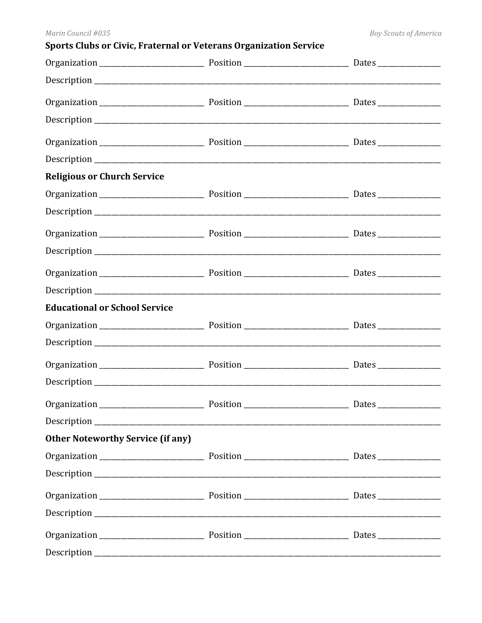| Sports Clubs or Civic, Fraternal or Veterans Organization Service |  |  |  |  |
|-------------------------------------------------------------------|--|--|--|--|
|                                                                   |  |  |  |  |
|                                                                   |  |  |  |  |
|                                                                   |  |  |  |  |
|                                                                   |  |  |  |  |
|                                                                   |  |  |  |  |
|                                                                   |  |  |  |  |
| <b>Religious or Church Service</b>                                |  |  |  |  |
|                                                                   |  |  |  |  |
|                                                                   |  |  |  |  |
|                                                                   |  |  |  |  |
|                                                                   |  |  |  |  |
|                                                                   |  |  |  |  |
|                                                                   |  |  |  |  |
| <b>Educational or School Service</b>                              |  |  |  |  |
|                                                                   |  |  |  |  |
|                                                                   |  |  |  |  |
|                                                                   |  |  |  |  |
|                                                                   |  |  |  |  |
|                                                                   |  |  |  |  |
|                                                                   |  |  |  |  |
| <b>Other Noteworthy Service (if any)</b>                          |  |  |  |  |
|                                                                   |  |  |  |  |
|                                                                   |  |  |  |  |
|                                                                   |  |  |  |  |
|                                                                   |  |  |  |  |
|                                                                   |  |  |  |  |
|                                                                   |  |  |  |  |